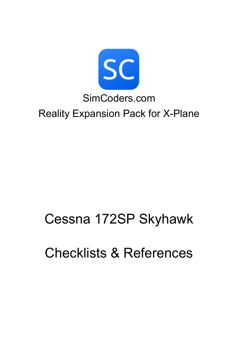

# Cessna 172SP Skyhawk

# Checklists & References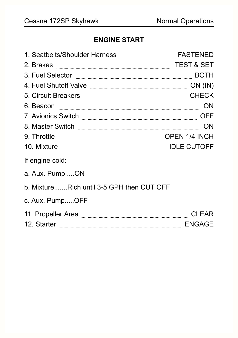#### **ENGINE START**

| 2. Brakes <b>with the State of the State of State of the State of State of State of State of State of State of State of State of State of State of State of State of State of State of State of State of State of State of State</b> |               |
|--------------------------------------------------------------------------------------------------------------------------------------------------------------------------------------------------------------------------------------|---------------|
| 3. Fuel Selector <b>Elector 2008</b> BOTH                                                                                                                                                                                            |               |
| 4. Fuel Shutoff Valve <b>Election Strategy Contact Control</b> Con (IN)                                                                                                                                                              |               |
| 5. Circuit Breakers <b>Election Contract Contract Contract CHECK</b>                                                                                                                                                                 |               |
|                                                                                                                                                                                                                                      | <b>ON</b>     |
| 7. Avionics Switch <b>Election Communisties</b>                                                                                                                                                                                      | OFF           |
|                                                                                                                                                                                                                                      | ON            |
| 9. Throttle <b>Election Constructs</b> OPEN 1/4 INCH                                                                                                                                                                                 |               |
| 10. Mixture <b>Election Contract Contract Contract Contract Contract Contract Contract Contract Control Contract Contract Contract Contract Contract Contract Contract Contract Contract Contract Contract Contract Contract Con</b> |               |
| If engine cold:                                                                                                                                                                                                                      |               |
| a. Aux. PumpON                                                                                                                                                                                                                       |               |
| b. MixtureRich until 3-5 GPH then CUT OFF                                                                                                                                                                                            |               |
| c. Aux. PumpOFF                                                                                                                                                                                                                      |               |
| 11. Propeller Area                                                                                                                                                                                                                   | <b>CLEAR</b>  |
| 12. Starter                                                                                                                                                                                                                          | <b>ENGAGE</b> |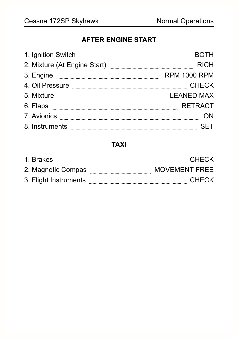#### **AFTER ENGINE START**

| 1. Ignition Switch           |                     |
|------------------------------|---------------------|
| 2. Mixture (At Engine Start) | <b>RICH</b>         |
| 3. Engine                    | <b>RPM 1000 RPM</b> |
| 4. Oil Pressure              | <b>CHECK</b>        |
| 5. Mixture                   | <b>LEANED MAX</b>   |
| 6. Flaps                     | <b>RETRACT</b>      |
| 7. Avionics                  |                     |
| 8. Instruments               |                     |

#### **TAXI**

| 1. Brakes             | <b>CHECK</b>         |
|-----------------------|----------------------|
| 2. Magnetic Compas    | <b>MOVEMENT FREE</b> |
| 3. Flight Instruments | <b>CHECK</b>         |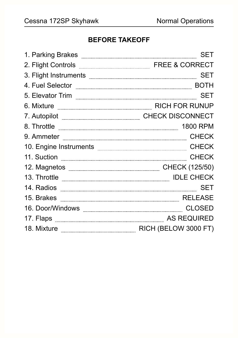#### **BEFORE TAKEOFF**

| 1. Parking Brakes                                                                                                                                                                                                                    | <b>SET</b>                                          |
|--------------------------------------------------------------------------------------------------------------------------------------------------------------------------------------------------------------------------------------|-----------------------------------------------------|
| 2. Flight Controls <b>Election</b> FREE & CORRECT                                                                                                                                                                                    |                                                     |
| 3. Flight Instruments <b>with a community of the contract of the contract of the contract of the contract of the contract of the contract of the contract of the contract of the contract of the contract of the contract of the</b> | <b>SET</b>                                          |
| 4. Fuel Selector                                                                                                                                                                                                                     | <b>BOTH</b>                                         |
| 5. Elevator Trim                                                                                                                                                                                                                     | <b>SET</b>                                          |
| 6. Mixture <b>Election Constructs</b> RICH FOR RUNUP                                                                                                                                                                                 |                                                     |
| 7. Autopilot                                                                                                                                                                                                                         | ___________________________________CHECK DISCONNECT |
| 8. Throttle                                                                                                                                                                                                                          | <b>1800 RPM</b>                                     |
|                                                                                                                                                                                                                                      | <b>CHECK</b>                                        |
|                                                                                                                                                                                                                                      | <b>CHECK</b>                                        |
|                                                                                                                                                                                                                                      | <b>CHECK</b>                                        |
| 12. Magnetos <b>William Magnetos</b> (125/50)                                                                                                                                                                                        |                                                     |
| 13. Throttle <b>www.communication.communication</b>                                                                                                                                                                                  | <b>IDLE CHECK</b>                                   |
| 14. Radios                                                                                                                                                                                                                           | <b>SET</b>                                          |
|                                                                                                                                                                                                                                      | <b>RELEASE</b>                                      |
| 16. Door/Windows <b>with the contract of the contract of the contract of the contract of the contract of the contract of the contract of the contract of the contract of the contract of the contract of the contract of the con</b> |                                                     |
| 17. Flaps <b>Election</b> AS REQUIRED                                                                                                                                                                                                |                                                     |
| 18. Mixture <b>Election</b> RICH (BELOW 3000 FT)                                                                                                                                                                                     |                                                     |
|                                                                                                                                                                                                                                      |                                                     |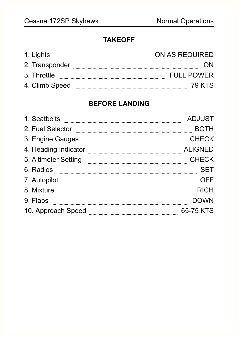#### **TAKEOFF**

| 1. Lights      | ON AS REQUIRED    |
|----------------|-------------------|
| 2. Transponder |                   |
| 3. Throttle    | <b>FULL POWER</b> |
| 4. Climb Speed | 79 KTS            |

#### **BEFORE LANDING**

| 1. Seatbelts         | <b>ADJUST</b>  |
|----------------------|----------------|
| 2. Fuel Selector     | <b>BOTH</b>    |
| 3. Engine Gauges     | <b>CHECK</b>   |
| 4. Heading Indicator | <b>ALIGNED</b> |
| 5. Altimeter Setting | <b>CHECK</b>   |
| 6. Radios            | SFT            |
| 7. Autopilot         |                |
| 8. Mixture           | RICH           |
| 9. Flaps             | DOWN           |
| 10. Approach Speed   | 65-75 KTS      |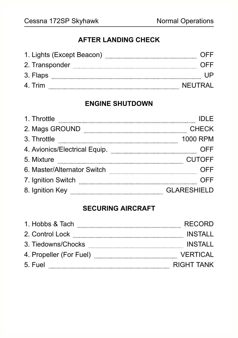#### **AFTER LANDING CHECK**

| 1. Lights (Except Beacon) | ()⊢⊢          |
|---------------------------|---------------|
| 2. Transponder            | $()$ $\vdash$ |
| 3. Flaps                  |               |
| 4 Trim                    | NFUTRAL       |

#### **ENGINE SHUTDOWN**

| 1. Throttle                   |                    |
|-------------------------------|--------------------|
| 2. Mags GROUND                | <b>CHECK</b>       |
| 3. Throttle                   | 1000 RPM           |
| 4. Avionics/Electrical Equip. |                    |
| 5. Mixture                    | <b>CUTOFF</b>      |
| 6. Master/Alternator Switch   | OFF                |
| 7. Ignition Switch            | NFF                |
| 8. Ignition Key               | <b>GLARESHIELD</b> |

#### **SECURING AIRCRAFT**

| 1. Hobbs & Tach         | <b>RECORD</b>   |
|-------------------------|-----------------|
| 2. Control Lock         | <b>INSTALL</b>  |
| 3. Tiedowns/Chocks      | INSTALL         |
| 4. Propeller (For Fuel) | <b>VERTICAL</b> |
| 5. Fuel                 | RIGHT TANK      |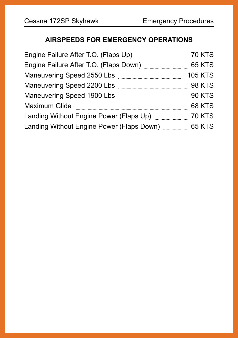#### **AIRSPEEDS FOR EMERGENCY OPERATIONS**

| Engine Failure After T.O. (Flaps Up)      | <b>70 KTS</b>  |
|-------------------------------------------|----------------|
| Engine Failure After T.O. (Flaps Down)    | <b>65 KTS</b>  |
| Maneuvering Speed 2550 Lbs                | <b>105 KTS</b> |
| Maneuvering Speed 2200 Lbs                | <b>98 KTS</b>  |
| Maneuvering Speed 1900 Lbs                | <b>90 KTS</b>  |
| <b>Maximum Glide</b>                      | <b>68 KTS</b>  |
| Landing Without Engine Power (Flaps Up)   | <b>70 KTS</b>  |
| Landing Without Engine Power (Flaps Down) | <b>65 KTS</b>  |
|                                           |                |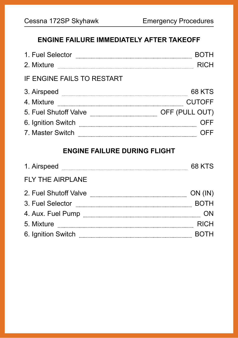#### **ENGINE FAILURE IMMEDIATELY AFTER TAKEOFF**

| 1. Fuel Selector           |                |
|----------------------------|----------------|
| 2. Mixture                 | <b>RICH</b>    |
| IF ENGINE FAILS TO RESTART |                |
| 3. Airspeed                | <b>68 KTS</b>  |
| 4. Mixture                 | <b>CUTOFF</b>  |
| 5. Fuel Shutoff Valve      | OFF (PULL OUT) |
| 6. Ignition Switch         | OFF            |
| 7. Master Switch           |                |

#### **ENGINE FAILURE DURING FLIGHT**

| 1. Airspeed             | 68 KTS        |
|-------------------------|---------------|
| <b>FLY THE AIRPLANE</b> |               |
| 2. Fuel Shutoff Valve   | $ON$ ( $IN$ ) |
| 3. Fuel Selector        | <b>BOTH</b>   |
| 4. Aux. Fuel Pump       |               |
| 5. Mixture              | <b>RICH</b>   |
| 6. Ignition Switch      |               |
|                         |               |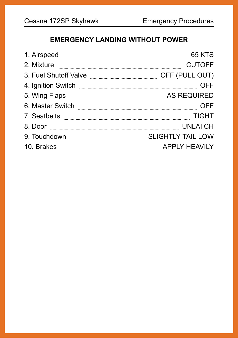### **EMERGENCY LANDING WITHOUT POWER**

| 1. Airspeed           | 65 KTS                   |
|-----------------------|--------------------------|
| 2. Mixture            | <b>CUTOFF</b>            |
| 3. Fuel Shutoff Valve | OFF (PULL OUT)           |
| 4. Ignition Switch    |                          |
| 5. Wing Flaps         | <b>AS REQUIRED</b>       |
| 6. Master Switch      |                          |
| 7. Seatbelts          | TIGHT                    |
| 8. Door               | <b>UNLATCH</b>           |
| 9. Touchdown          | <b>SLIGHTLY TAIL LOW</b> |
| 10. Brakes            | <b>APPLY HEAVILY</b>     |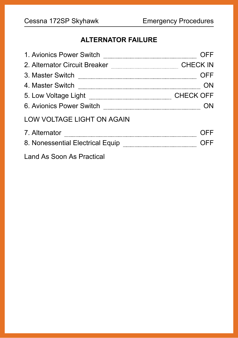### **ALTERNATOR FAILURE**

| 1. Avionics Power Switch          |                  |
|-----------------------------------|------------------|
| 2. Alternator Circuit Breaker     | <b>CHECK IN</b>  |
| 3. Master Switch                  | OFF              |
| 4. Master Switch                  |                  |
| 5. Low Voltage Light              | <b>CHECK OFF</b> |
| 6. Avionics Power Switch          |                  |
| <b>LOW VOLTAGE LIGHT ON AGAIN</b> |                  |
| 7. Alternator                     |                  |
| 8. Nonessential Electrical Equip  | NFF              |
| Land As Soon As Practical         |                  |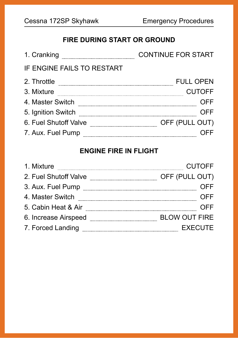# **FIRE DURING START OR GROUND**

| 1. Cranking                | <b>CONTINUE FOR START</b> |
|----------------------------|---------------------------|
| IF ENGINE FAILS TO RESTART |                           |
| 2. Throttle                | <b>FULL OPEN</b>          |
| 3. Mixture                 | <b>CUTOFF</b>             |
| 4. Master Switch           | OFF                       |
| 5. Ignition Switch         | NFF                       |
| 6. Fuel Shutoff Valve      | OFF (PULL OUT)            |
| 7. Aux. Fuel Pump          |                           |

# **ENGINE FIRE IN FLIGHT**

| 1. Mixture            | <b>CUTOFF</b>        |
|-----------------------|----------------------|
| 2. Fuel Shutoff Valve | OFF (PULL OUT)       |
| 3. Aux. Fuel Pump     | )FF                  |
| 4. Master Switch      | 7FF                  |
| 5. Cabin Heat & Air   | 7FF                  |
| 6. Increase Airspeed  | <b>BLOW OUT FIRE</b> |
| 7. Forced Landing     | <b>EXECUTE</b>       |
|                       |                      |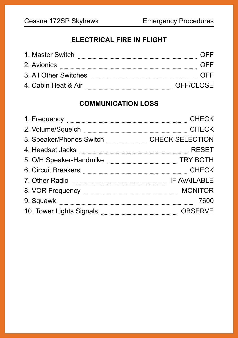#### **ELECTRICAL FIRE IN FLIGHT**

| 1 Master Switch       |           |
|-----------------------|-----------|
| 2. Avionics           | ()⊢⊢      |
| 3. All Other Switches |           |
| 4. Cabin Heat & Air   | OFF/CLOSE |

#### **COMMUNICATION LOSS**

| 1. Frequency <b>Constitution of the Constantine Constantine Constantine Constantine Constantine Constantine Constantine Constantine Constantine Constantine Constantine Constantine Constantine Constantine Constantine Constant</b> | <b>CHECK</b>           |
|--------------------------------------------------------------------------------------------------------------------------------------------------------------------------------------------------------------------------------------|------------------------|
| 2. Volume/Squelch <b>Election Contract Contract Contract Contract Contract Contract Contract Contract Contract Contract Contract Contract Contract Contract Contract Contract Contract Contract Contract Contract Contract Contr</b> | <b>CHECK</b>           |
| 3. Speaker/Phones Switch                                                                                                                                                                                                             | <b>CHECK SELECTION</b> |
| 4. Headset Jacks                                                                                                                                                                                                                     | <b>RESET</b>           |
| 5. O/H Speaker-Handmike                                                                                                                                                                                                              | <b>TRY BOTH</b>        |
| 6. Circuit Breakers                                                                                                                                                                                                                  | <b>CHECK</b>           |
| 7. Other Radio                                                                                                                                                                                                                       | IF AVAILABLE           |
| 8. VOR Frequency <b>with the contract of the contract of the contract of the contract of the contract of the contract of the contract of the contract of the contract of the contract of the contract of the contract of the con</b> | <b>MONITOR</b>         |
| 9. Squawk <b>manufacturer</b>                                                                                                                                                                                                        | 7600                   |
| 10. Tower Lights Signals <b>Commission Control and Street Avenue</b> School and Text and Text and Text and Text and Text and Text and Text and Text and Text and Text and Text and Text and Text and Text and Text and Text and Tex  | <b>OBSERVE</b>         |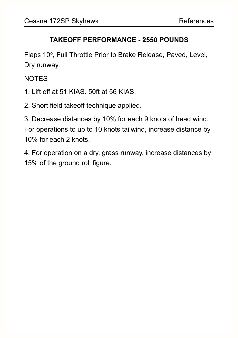#### **TAKEOFF PERFORMANCE - 2550 POUNDS**

Flaps 10⁰, Full Throttle Prior to Brake Release, Paved, Level, Dry runway.

NOTES

- 1. Lift off at 51 KIAS. 50ft at 56 KIAS.
- 2. Short field takeoff technique applied.

3. Decrease distances by 10% for each 9 knots of head wind. For operations to up to 10 knots tailwind, increase distance by 10% for each 2 knots.

4. For operation on a dry, grass runway, increase distances by 15% of the ground roll figure.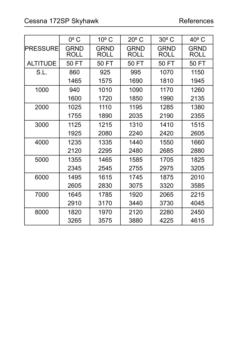|                 | $0^{\circ}$ C              | $10o$ C                    | $20^{\circ}$ C             | $30^{\circ}$ C             | 40° C                      |
|-----------------|----------------------------|----------------------------|----------------------------|----------------------------|----------------------------|
| <b>PRESSURE</b> | <b>GRND</b><br><b>ROLL</b> | <b>GRND</b><br><b>ROLL</b> | <b>GRND</b><br><b>ROLL</b> | <b>GRND</b><br><b>ROLL</b> | <b>GRND</b><br><b>ROLL</b> |
| <b>ALTITUDE</b> | 50 FT                      | 50 FT                      | 50 FT                      | 50 FT                      | 50 FT                      |
| S.L.            | 860                        | 925                        | 995                        | 1070                       | 1150                       |
|                 | 1465                       | 1575                       | 1690                       | 1810                       | 1945                       |
| 1000            | 940                        | 1010                       | 1090                       | 1170                       | 1260                       |
|                 | 1600                       | 1720                       | 1850                       | 1990                       | 2135                       |
| 2000            | 1025                       | 1110                       | 1195                       | 1285                       | 1380                       |
|                 | 1755                       | 1890                       | 2035                       | 2190                       | 2355                       |
| 3000            | 1125                       | 1215                       | 1310                       | 1410                       | 1515                       |
|                 | 1925                       | 2080                       | 2240                       | 2420                       | 2605                       |
| 4000            | 1235                       | 1335                       | 1440                       | 1550                       | 1660                       |
|                 | 2120                       | 2295                       | 2480                       | 2685                       | 2880                       |
| 5000            | 1355                       | 1465                       | 1585                       | 1705                       | 1825                       |
|                 | 2345                       | 2545                       | 2755                       | 2975                       | 3205                       |
| 6000            | 1495                       | 1615                       | 1745                       | 1875                       | 2010                       |
|                 | 2605                       | 2830                       | 3075                       | 3320                       | 3585                       |
| 7000            | 1645                       | 1785                       | 1920                       | 2065                       | 2215                       |
|                 | 2910                       | 3170                       | 3440                       | 3730                       | 4045                       |
| 8000            | 1820                       | 1970                       | 2120                       | 2280                       | 2450                       |
|                 | 3265                       | 3575                       | 3880                       | 4225                       | 4615                       |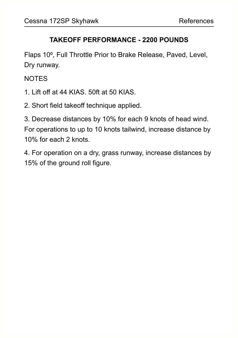#### **TAKEOFF PERFORMANCE - 2200 POUNDS**

Flaps 10⁰, Full Throttle Prior to Brake Release, Paved, Level, Dry runway.

NOTES

- 1. Lift off at 44 KIAS. 50ft at 50 KIAS.
- 2. Short field takeoff technique applied.

3. Decrease distances by 10% for each 9 knots of head wind. For operations to up to 10 knots tailwind, increase distance by 10% for each 2 knots.

4. For operation on a dry, grass runway, increase distances by 15% of the ground roll figure.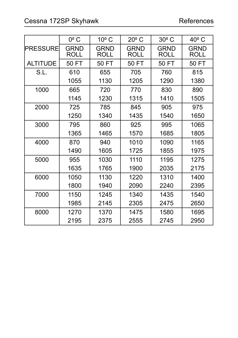|                 | $0^{\circ}$ C              | $10o$ C                    | $20^{\circ}$ C             | $30^{\circ}$ C             | $40^{\circ}$ C             |
|-----------------|----------------------------|----------------------------|----------------------------|----------------------------|----------------------------|
| <b>PRESSURE</b> | <b>GRND</b><br><b>ROLL</b> | <b>GRND</b><br><b>ROLL</b> | <b>GRND</b><br><b>ROLL</b> | <b>GRND</b><br><b>ROLL</b> | <b>GRND</b><br><b>ROLL</b> |
| <b>ALTITUDE</b> | 50 FT                      | 50 FT                      | 50 FT                      | 50 FT                      | 50 FT                      |
| S.L.            | 610                        | 655                        | 705                        | 760                        | 815                        |
|                 | 1055                       | 1130                       | 1205                       | 1290                       | 1380                       |
| 1000            | 665                        | 720                        | 770                        | 830                        | 890                        |
|                 | 1145                       | 1230                       | 1315                       | 1410                       | 1505                       |
| 2000            | 725                        | 785                        | 845                        | 905                        | 975                        |
|                 | 1250                       | 1340                       | 1435                       | 1540                       | 1650                       |
| 3000            | 795                        | 860                        | 925                        | 995                        | 1065                       |
|                 | 1365                       | 1465                       | 1570                       | 1685                       | 1805                       |
| 4000            | 870                        | 940                        | 1010                       | 1090                       | 1165                       |
|                 | 1490                       | 1605                       | 1725                       | 1855                       | 1975                       |
| 5000            | 955                        | 1030                       | 1110                       | 1195                       | 1275                       |
|                 | 1635                       | 1765                       | 1900                       | 2035                       | 2175                       |
| 6000            | 1050                       | 1130                       | 1220                       | 1310                       | 1400                       |
|                 | 1800                       | 1940                       | 2090                       | 2240                       | 2395                       |
| 7000            | 1150                       | 1245                       | 1340                       | 1435                       | 1540                       |
|                 | 1985                       | 2145                       | 2305                       | 2475                       | 2650                       |
| 8000            | 1270                       | 1370                       | 1475                       | 1580                       | 1695                       |
|                 | 2195                       | 2375                       | 2555                       | 2745                       | 2950                       |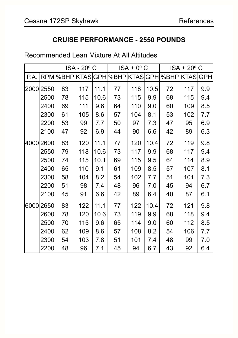#### **CRUISE PERFORMANCE - 2550 POUNDS**

#### Recommended Lean Mixture At All Altitudes

|      |           |    | ISA - 20° C |      | $ISA + 0^{\circ}$ C |     | $ISA + 20^{\circ}$ C |                                               |     |     |
|------|-----------|----|-------------|------|---------------------|-----|----------------------|-----------------------------------------------|-----|-----|
| P.A. |           |    |             |      |                     |     |                      | RPM %BHP KTAS GPH %BHP KTAS GPH %BHP KTAS GPH |     |     |
|      | 2000 2550 | 83 | 117         | 11.1 | 77                  | 118 | 10.5                 | 72                                            | 117 | 9.9 |
|      | 2500      | 78 | 115         | 10.6 | 73                  | 115 | 9.9                  | 68                                            | 115 | 9.4 |
|      | 2400      | 69 | 111         | 9.6  | 64                  | 110 | 9.0                  | 60                                            | 109 | 8.5 |
|      | 2300      | 61 | 105         | 8.6  | 57                  | 104 | 8.1                  | 53                                            | 102 | 7.7 |
|      | 2200      | 53 | 99          | 7.7  | 50                  | 97  | 7.3                  | 47                                            | 95  | 6.9 |
|      | 2100      | 47 | 92          | 6.9  | 44                  | 90  | 6.6                  | 42                                            | 89  | 6.3 |
|      | 4000 2600 | 83 | 120         | 11.1 | 77                  | 120 | 10.4                 | 72                                            | 119 | 9.8 |
|      | 2550      | 79 | 118         | 10.6 | 73                  | 117 | 9.9                  | 68                                            | 117 | 9.4 |
|      | 2500      | 74 | 115         | 10.1 | 69                  | 115 | 9.5                  | 64                                            | 114 | 8.9 |
|      | 2400      | 65 | 110         | 9.1  | 61                  | 109 | 8.5                  | 57                                            | 107 | 8.1 |
|      | 2300      | 58 | 104         | 8.2  | 54                  | 102 | 7.7                  | 51                                            | 101 | 7.3 |
|      | 2200      | 51 | 98          | 7.4  | 48                  | 96  | 7.0                  | 45                                            | 94  | 6.7 |
|      | 2100      | 45 | 91          | 6.6  | 42                  | 89  | 6.4                  | 40                                            | 87  | 6.1 |
|      | 6000 2650 | 83 | 122         | 11.1 | 77                  | 122 | 10.4                 | 72                                            | 121 | 9.8 |
|      | 2600      | 78 | 120         | 10.6 | 73                  | 119 | 9.9                  | 68                                            | 118 | 9.4 |
|      | 2500      | 70 | 115         | 9.6  | 65                  | 114 | 9.0                  | 60                                            | 112 | 8.5 |
|      | 2400      | 62 | 109         | 8.6  | 57                  | 108 | 8.2                  | 54                                            | 106 | 7.7 |
|      | 2300      | 54 | 103         | 7.8  | 51                  | 101 | 7.4                  | 48                                            | 99  | 7.0 |
|      | 2200      | 48 | 96          | 7.1  | 45                  | 94  | 6.7                  | 43                                            | 92  | 6.4 |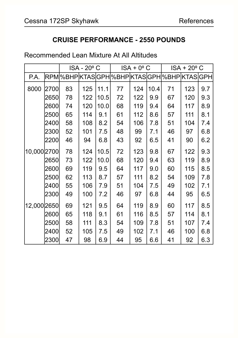#### **CRUISE PERFORMANCE - 2550 POUNDS**

#### Recommended Lean Mixture At All Altitudes

|             |      |    | ISA - 20° C |      |    | $ISA + 0^{\circ}$ C |      | $ISA + 20^{\circ}$ C                          |     |     |
|-------------|------|----|-------------|------|----|---------------------|------|-----------------------------------------------|-----|-----|
| P.A.        |      |    |             |      |    |                     |      | RPM %BHP KTAS GPH %BHP KTAS GPH %BHP KTAS GPH |     |     |
| 8000        | 2700 | 83 | 125         | 11.1 | 77 | 124                 | 10.4 | 71                                            | 123 | 9.7 |
|             | 2650 | 78 | 122         | 10.5 | 72 | 122                 | 9.9  | 67                                            | 120 | 9.3 |
|             | 2600 | 74 | 120         | 10.0 | 68 | 119                 | 9.4  | 64                                            | 117 | 8.9 |
|             | 2500 | 65 | 114         | 9.1  | 61 | 112                 | 8.6  | 57                                            | 111 | 8.1 |
|             | 2400 | 58 | 108         | 8.2  | 54 | 106                 | 7.8  | 51                                            | 104 | 7.4 |
|             | 2300 | 52 | 101         | 7.5  | 48 | 99                  | 7.1  | 46                                            | 97  | 6.8 |
|             | 2200 | 46 | 94          | 6.8  | 43 | 92                  | 6.5  | 41                                            | 90  | 6.2 |
| 10,000 2700 |      | 78 | 124         | 10.5 | 72 | 123                 | 9.8  | 67                                            | 122 | 9.3 |
|             | 2650 | 73 | 122         | 10.0 | 68 | 120                 | 9.4  | 63                                            | 119 | 8.9 |
|             | 2600 | 69 | 119         | 9.5  | 64 | 117                 | 9.0  | 60                                            | 115 | 8.5 |
|             | 2500 | 62 | 113         | 8.7  | 57 | 111                 | 8.2  | 54                                            | 109 | 7.8 |
|             | 2400 | 55 | 106         | 7.9  | 51 | 104                 | 7.5  | 49                                            | 102 | 7.1 |
|             | 2300 | 49 | 100         | 7.2  | 46 | 97                  | 6.8  | 44                                            | 95  | 6.5 |
| 12,000 2650 |      | 69 | 121         | 9.5  | 64 | 119                 | 8.9  | 60                                            | 117 | 8.5 |
|             | 2600 | 65 | 118         | 9.1  | 61 | 116                 | 8.5  | 57                                            | 114 | 8.1 |
|             | 2500 | 58 | 111         | 8.3  | 54 | 109                 | 7.8  | 51                                            | 107 | 7.4 |
|             | 2400 | 52 | 105         | 7.5  | 49 | 102                 | 7.1  | 46                                            | 100 | 6.8 |
|             | 2300 | 47 | 98          | 6.9  | 44 | 95                  | 6.6  | 41                                            | 92  | 6.3 |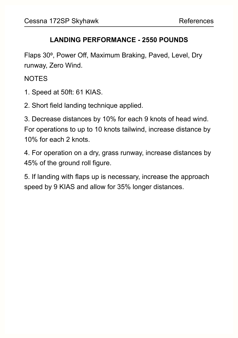#### **LANDING PERFORMANCE - 2550 POUNDS**

Flaps 30⁰, Power Off, Maximum Braking, Paved, Level, Dry runway, Zero Wind.

**NOTES** 

- 1. Speed at 50ft: 61 KIAS.
- 2. Short field landing technique applied.

3. Decrease distances by 10% for each 9 knots of head wind. For operations to up to 10 knots tailwind, increase distance by 10% for each 2 knots.

4. For operation on a dry, grass runway, increase distances by 45% of the ground roll figure.

5. If landing with flaps up is necessary, increase the approach speed by 9 KIAS and allow for 35% longer distances.